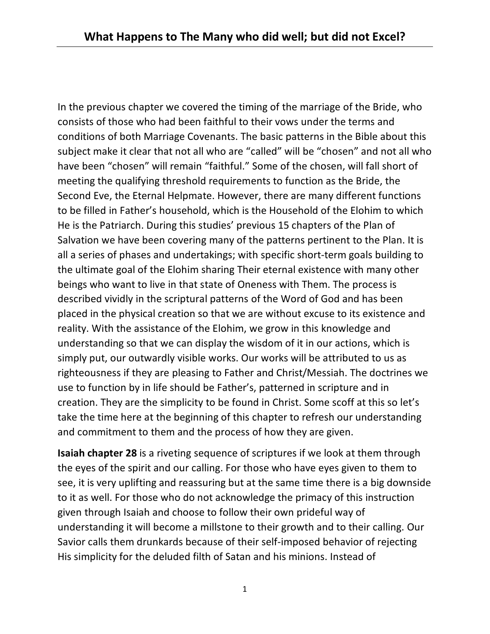In the previous chapter we covered the timing of the marriage of the Bride, who consists of those who had been faithful to their vows under the terms and conditions of both Marriage Covenants. The basic patterns in the Bible about this subject make it clear that not all who are "called" will be "chosen" and not all who have been "chosen" will remain "faithful." Some of the chosen, will fall short of meeting the qualifying threshold requirements to function as the Bride, the Second Eve, the Eternal Helpmate. However, there are many different functions to be filled in Father's household, which is the Household of the Elohim to which He is the Patriarch. During this studies' previous 15 chapters of the Plan of Salvation we have been covering many of the patterns pertinent to the Plan. It is all a series of phases and undertakings; with specific short-term goals building to the ultimate goal of the Elohim sharing Their eternal existence with many other beings who want to live in that state of Oneness with Them. The process is described vividly in the scriptural patterns of the Word of God and has been placed in the physical creation so that we are without excuse to its existence and reality. With the assistance of the Elohim, we grow in this knowledge and understanding so that we can display the wisdom of it in our actions, which is simply put, our outwardly visible works. Our works will be attributed to us as righteousness if they are pleasing to Father and Christ/Messiah. The doctrines we use to function by in life should be Father's, patterned in scripture and in creation. They are the simplicity to be found in Christ. Some scoff at this so let's take the time here at the beginning of this chapter to refresh our understanding and commitment to them and the process of how they are given.

**Isaiah chapter 28** is a riveting sequence of scriptures if we look at them through the eyes of the spirit and our calling. For those who have eyes given to them to see, it is very uplifting and reassuring but at the same time there is a big downside to it as well. For those who do not acknowledge the primacy of this instruction given through Isaiah and choose to follow their own prideful way of understanding it will become a millstone to their growth and to their calling. Our Savior calls them drunkards because of their self-imposed behavior of rejecting His simplicity for the deluded filth of Satan and his minions. Instead of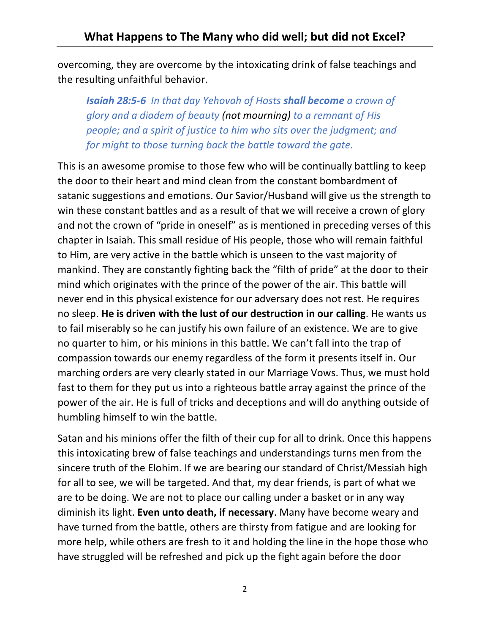overcoming, they are overcome by the intoxicating drink of false teachings and the resulting unfaithful behavior.

*Isaiah 28:5-6 In that day Yehovah of Hosts shall become a crown of glory and a diadem of beauty (not mourning) to a remnant of His people; and a spirit of justice to him who sits over the judgment; and for might to those turning back the battle toward the gate.*

This is an awesome promise to those few who will be continually battling to keep the door to their heart and mind clean from the constant bombardment of satanic suggestions and emotions. Our Savior/Husband will give us the strength to win these constant battles and as a result of that we will receive a crown of glory and not the crown of "pride in oneself" as is mentioned in preceding verses of this chapter in Isaiah. This small residue of His people, those who will remain faithful to Him, are very active in the battle which is unseen to the vast majority of mankind. They are constantly fighting back the "filth of pride" at the door to their mind which originates with the prince of the power of the air. This battle will never end in this physical existence for our adversary does not rest. He requires no sleep. **He is driven with the lust of our destruction in our calling**. He wants us to fail miserably so he can justify his own failure of an existence. We are to give no quarter to him, or his minions in this battle. We can't fall into the trap of compassion towards our enemy regardless of the form it presents itself in. Our marching orders are very clearly stated in our Marriage Vows. Thus, we must hold fast to them for they put us into a righteous battle array against the prince of the power of the air. He is full of tricks and deceptions and will do anything outside of humbling himself to win the battle.

Satan and his minions offer the filth of their cup for all to drink. Once this happens this intoxicating brew of false teachings and understandings turns men from the sincere truth of the Elohim. If we are bearing our standard of Christ/Messiah high for all to see, we will be targeted. And that, my dear friends, is part of what we are to be doing. We are not to place our calling under a basket or in any way diminish its light. **Even unto death, if necessary**. Many have become weary and have turned from the battle, others are thirsty from fatigue and are looking for more help, while others are fresh to it and holding the line in the hope those who have struggled will be refreshed and pick up the fight again before the door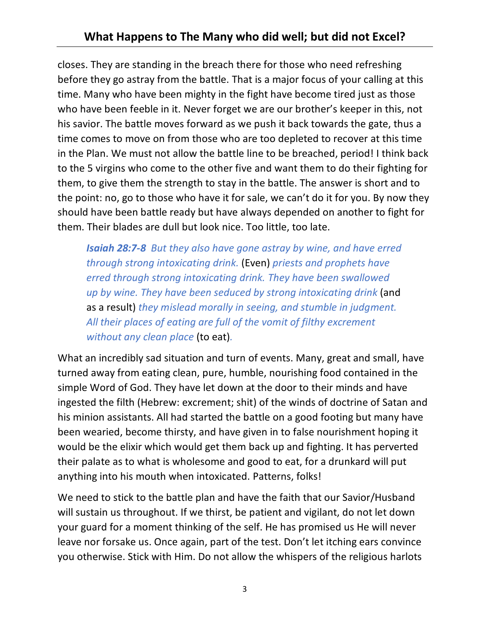closes. They are standing in the breach there for those who need refreshing before they go astray from the battle. That is a major focus of your calling at this time. Many who have been mighty in the fight have become tired just as those who have been feeble in it. Never forget we are our brother's keeper in this, not his savior. The battle moves forward as we push it back towards the gate, thus a time comes to move on from those who are too depleted to recover at this time in the Plan. We must not allow the battle line to be breached, period! I think back to the 5 virgins who come to the other five and want them to do their fighting for them, to give them the strength to stay in the battle. The answer is short and to the point: no, go to those who have it for sale, we can't do it for you. By now they should have been battle ready but have always depended on another to fight for them. Their blades are dull but look nice. Too little, too late.

*Isaiah 28:7-8 But they also have gone astray by wine, and have erred through strong intoxicating drink.* (Even) *priests and prophets have erred through strong intoxicating drink. They have been swallowed up by wine. They have been seduced by strong intoxicating drink* (and as a result) *they mislead morally in seeing, and stumble in judgment. All their places of eating are full of the vomit of filthy excrement without any clean place* (to eat)*.*

What an incredibly sad situation and turn of events. Many, great and small, have turned away from eating clean, pure, humble, nourishing food contained in the simple Word of God. They have let down at the door to their minds and have ingested the filth (Hebrew: excrement; shit) of the winds of doctrine of Satan and his minion assistants. All had started the battle on a good footing but many have been wearied, become thirsty, and have given in to false nourishment hoping it would be the elixir which would get them back up and fighting. It has perverted their palate as to what is wholesome and good to eat, for a drunkard will put anything into his mouth when intoxicated. Patterns, folks!

We need to stick to the battle plan and have the faith that our Savior/Husband will sustain us throughout. If we thirst, be patient and vigilant, do not let down your guard for a moment thinking of the self. He has promised us He will never leave nor forsake us. Once again, part of the test. Don't let itching ears convince you otherwise. Stick with Him. Do not allow the whispers of the religious harlots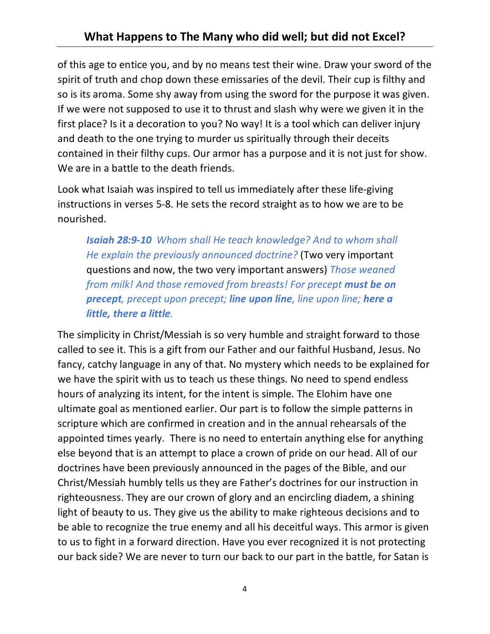of this age to entice you, and by no means test their wine. Draw your sword of the spirit of truth and chop down these emissaries of the devil. Their cup is filthy and so is its aroma. Some shy away from using the sword for the purpose it was given. If we were not supposed to use it to thrust and slash why were we given it in the first place? Is it a decoration to you? No way! It is a tool which can deliver injury and death to the one trying to murder us spiritually through their deceits contained in their filthy cups. Our armor has a purpose and it is not just for show. We are in a battle to the death friends.

Look what Isaiah was inspired to tell us immediately after these life-giving instructions in verses 5-8. He sets the record straight as to how we are to be nourished.

*Isaiah 28:9-10 Whom shall He teach knowledge? And to whom shall He explain the previously announced doctrine?* (Two very important questions and now, the two very important answers) *Those weaned from milk! And those removed from breasts! For precept must be on precept, precept upon precept; line upon line, line upon line; here a little, there a little.*

The simplicity in Christ/Messiah is so very humble and straight forward to those called to see it. This is a gift from our Father and our faithful Husband, Jesus. No fancy, catchy language in any of that. No mystery which needs to be explained for we have the spirit with us to teach us these things. No need to spend endless hours of analyzing its intent, for the intent is simple. The Elohim have one ultimate goal as mentioned earlier. Our part is to follow the simple patterns in scripture which are confirmed in creation and in the annual rehearsals of the appointed times yearly. There is no need to entertain anything else for anything else beyond that is an attempt to place a crown of pride on our head. All of our doctrines have been previously announced in the pages of the Bible, and our Christ/Messiah humbly tells us they are Father's doctrines for our instruction in righteousness. They are our crown of glory and an encircling diadem, a shining light of beauty to us. They give us the ability to make righteous decisions and to be able to recognize the true enemy and all his deceitful ways. This armor is given to us to fight in a forward direction. Have you ever recognized it is not protecting our back side? We are never to turn our back to our part in the battle, for Satan is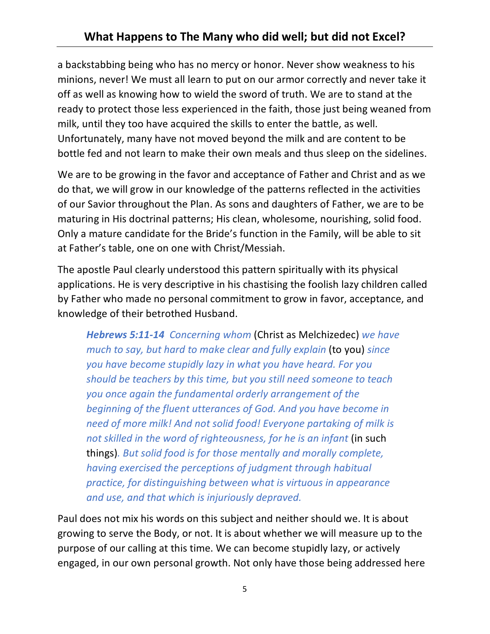## **What Happens to The Many who did well; but did not Excel?**

a backstabbing being who has no mercy or honor. Never show weakness to his minions, never! We must all learn to put on our armor correctly and never take it off as well as knowing how to wield the sword of truth. We are to stand at the ready to protect those less experienced in the faith, those just being weaned from milk, until they too have acquired the skills to enter the battle, as well. Unfortunately, many have not moved beyond the milk and are content to be bottle fed and not learn to make their own meals and thus sleep on the sidelines.

We are to be growing in the favor and acceptance of Father and Christ and as we do that, we will grow in our knowledge of the patterns reflected in the activities of our Savior throughout the Plan. As sons and daughters of Father, we are to be maturing in His doctrinal patterns; His clean, wholesome, nourishing, solid food. Only a mature candidate for the Bride's function in the Family, will be able to sit at Father's table, one on one with Christ/Messiah.

The apostle Paul clearly understood this pattern spiritually with its physical applications. He is very descriptive in his chastising the foolish lazy children called by Father who made no personal commitment to grow in favor, acceptance, and knowledge of their betrothed Husband.

*Hebrews 5:11-14 Concerning whom* (Christ as Melchizedec) *we have much to say, but hard to make clear and fully explain* (to you) *since you have become stupidly lazy in what you have heard. For you should be teachers by this time, but you still need someone to teach you once again the fundamental orderly arrangement of the beginning of the fluent utterances of God. And you have become in need of more milk! And not solid food! Everyone partaking of milk is not skilled in the word of righteousness, for he is an infant* (in such things)*. But solid food is for those mentally and morally complete, having exercised the perceptions of judgment through habitual practice, for distinguishing between what is virtuous in appearance and use, and that which is injuriously depraved.*

Paul does not mix his words on this subject and neither should we. It is about growing to serve the Body, or not. It is about whether we will measure up to the purpose of our calling at this time. We can become stupidly lazy, or actively engaged, in our own personal growth. Not only have those being addressed here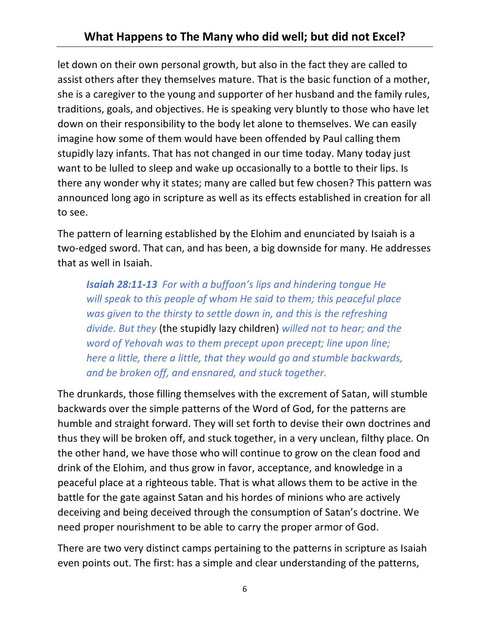let down on their own personal growth, but also in the fact they are called to assist others after they themselves mature. That is the basic function of a mother, she is a caregiver to the young and supporter of her husband and the family rules, traditions, goals, and objectives. He is speaking very bluntly to those who have let down on their responsibility to the body let alone to themselves. We can easily imagine how some of them would have been offended by Paul calling them stupidly lazy infants. That has not changed in our time today. Many today just want to be lulled to sleep and wake up occasionally to a bottle to their lips. Is there any wonder why it states; many are called but few chosen? This pattern was announced long ago in scripture as well as its effects established in creation for all to see.

The pattern of learning established by the Elohim and enunciated by Isaiah is a two-edged sword. That can, and has been, a big downside for many. He addresses that as well in Isaiah.

*Isaiah 28:11-13 For with a buffoon's lips and hindering tongue He will speak to this people of whom He said to them; this peaceful place was given to the thirsty to settle down in, and this is the refreshing divide. But they* (the stupidly lazy children) *willed not to hear; and the word of Yehovah was to them precept upon precept; line upon line; here a little, there a little, that they would go and stumble backwards, and be broken off, and ensnared, and stuck together.*

The drunkards, those filling themselves with the excrement of Satan, will stumble backwards over the simple patterns of the Word of God, for the patterns are humble and straight forward. They will set forth to devise their own doctrines and thus they will be broken off, and stuck together, in a very unclean, filthy place. On the other hand, we have those who will continue to grow on the clean food and drink of the Elohim, and thus grow in favor, acceptance, and knowledge in a peaceful place at a righteous table. That is what allows them to be active in the battle for the gate against Satan and his hordes of minions who are actively deceiving and being deceived through the consumption of Satan's doctrine. We need proper nourishment to be able to carry the proper armor of God.

There are two very distinct camps pertaining to the patterns in scripture as Isaiah even points out. The first: has a simple and clear understanding of the patterns,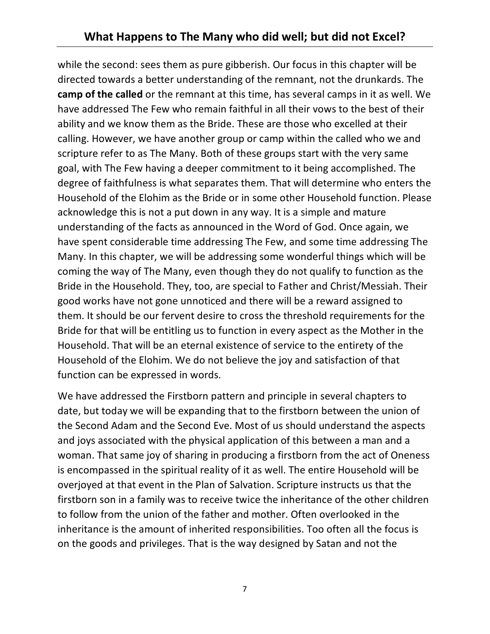while the second: sees them as pure gibberish. Our focus in this chapter will be directed towards a better understanding of the remnant, not the drunkards. The **camp of the called** or the remnant at this time, has several camps in it as well. We have addressed The Few who remain faithful in all their vows to the best of their ability and we know them as the Bride. These are those who excelled at their calling. However, we have another group or camp within the called who we and scripture refer to as The Many. Both of these groups start with the very same goal, with The Few having a deeper commitment to it being accomplished. The degree of faithfulness is what separates them. That will determine who enters the Household of the Elohim as the Bride or in some other Household function. Please acknowledge this is not a put down in any way. It is a simple and mature understanding of the facts as announced in the Word of God. Once again, we have spent considerable time addressing The Few, and some time addressing The Many. In this chapter, we will be addressing some wonderful things which will be coming the way of The Many, even though they do not qualify to function as the Bride in the Household. They, too, are special to Father and Christ/Messiah. Their good works have not gone unnoticed and there will be a reward assigned to them. It should be our fervent desire to cross the threshold requirements for the Bride for that will be entitling us to function in every aspect as the Mother in the Household. That will be an eternal existence of service to the entirety of the Household of the Elohim. We do not believe the joy and satisfaction of that function can be expressed in words.

We have addressed the Firstborn pattern and principle in several chapters to date, but today we will be expanding that to the firstborn between the union of the Second Adam and the Second Eve. Most of us should understand the aspects and joys associated with the physical application of this between a man and a woman. That same joy of sharing in producing a firstborn from the act of Oneness is encompassed in the spiritual reality of it as well. The entire Household will be overjoyed at that event in the Plan of Salvation. Scripture instructs us that the firstborn son in a family was to receive twice the inheritance of the other children to follow from the union of the father and mother. Often overlooked in the inheritance is the amount of inherited responsibilities. Too often all the focus is on the goods and privileges. That is the way designed by Satan and not the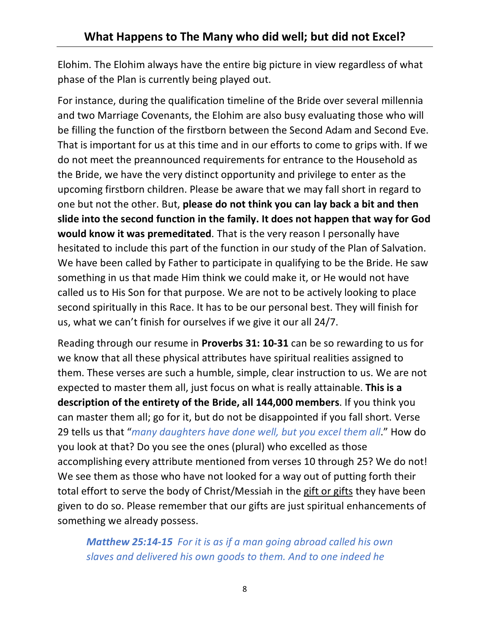Elohim. The Elohim always have the entire big picture in view regardless of what phase of the Plan is currently being played out.

For instance, during the qualification timeline of the Bride over several millennia and two Marriage Covenants, the Elohim are also busy evaluating those who will be filling the function of the firstborn between the Second Adam and Second Eve. That is important for us at this time and in our efforts to come to grips with. If we do not meet the preannounced requirements for entrance to the Household as the Bride, we have the very distinct opportunity and privilege to enter as the upcoming firstborn children. Please be aware that we may fall short in regard to one but not the other. But, **please do not think you can lay back a bit and then slide into the second function in the family. It does not happen that way for God would know it was premeditated**. That is the very reason I personally have hesitated to include this part of the function in our study of the Plan of Salvation. We have been called by Father to participate in qualifying to be the Bride. He saw something in us that made Him think we could make it, or He would not have called us to His Son for that purpose. We are not to be actively looking to place second spiritually in this Race. It has to be our personal best. They will finish for us, what we can't finish for ourselves if we give it our all 24/7.

Reading through our resume in **Proverbs 31: 10-31** can be so rewarding to us for we know that all these physical attributes have spiritual realities assigned to them. These verses are such a humble, simple, clear instruction to us. We are not expected to master them all, just focus on what is really attainable. **This is a description of the entirety of the Bride, all 144,000 members**. If you think you can master them all; go for it, but do not be disappointed if you fall short. Verse 29 tells us that "*many daughters have done well, but you excel them all*." How do you look at that? Do you see the ones (plural) who excelled as those accomplishing every attribute mentioned from verses 10 through 25? We do not! We see them as those who have not looked for a way out of putting forth their total effort to serve the body of Christ/Messiah in the gift or gifts they have been given to do so. Please remember that our gifts are just spiritual enhancements of something we already possess.

*Matthew 25:14-15 For it is as if a man going abroad called his own slaves and delivered his own goods to them. And to one indeed he*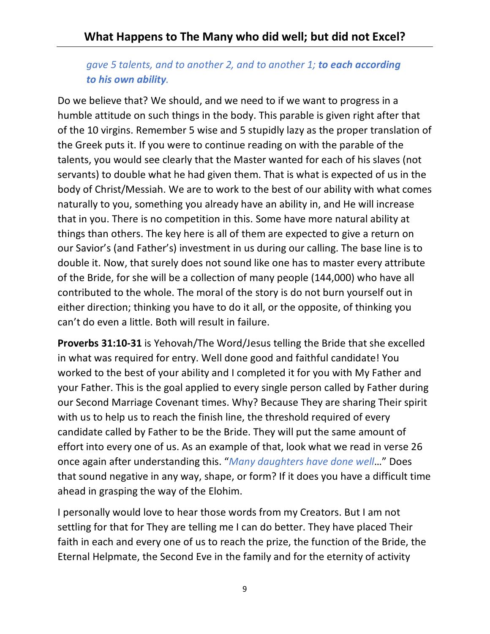## *gave 5 talents, and to another 2, and to another 1; to each according to his own ability.*

Do we believe that? We should, and we need to if we want to progress in a humble attitude on such things in the body. This parable is given right after that of the 10 virgins. Remember 5 wise and 5 stupidly lazy as the proper translation of the Greek puts it. If you were to continue reading on with the parable of the talents, you would see clearly that the Master wanted for each of his slaves (not servants) to double what he had given them. That is what is expected of us in the body of Christ/Messiah. We are to work to the best of our ability with what comes naturally to you, something you already have an ability in, and He will increase that in you. There is no competition in this. Some have more natural ability at things than others. The key here is all of them are expected to give a return on our Savior's (and Father's) investment in us during our calling. The base line is to double it. Now, that surely does not sound like one has to master every attribute of the Bride, for she will be a collection of many people (144,000) who have all contributed to the whole. The moral of the story is do not burn yourself out in either direction; thinking you have to do it all, or the opposite, of thinking you can't do even a little. Both will result in failure.

**Proverbs 31:10-31** is Yehovah/The Word/Jesus telling the Bride that she excelled in what was required for entry. Well done good and faithful candidate! You worked to the best of your ability and I completed it for you with My Father and your Father. This is the goal applied to every single person called by Father during our Second Marriage Covenant times. Why? Because They are sharing Their spirit with us to help us to reach the finish line, the threshold required of every candidate called by Father to be the Bride. They will put the same amount of effort into every one of us. As an example of that, look what we read in verse 26 once again after understanding this. "*Many daughters have done well*…" Does that sound negative in any way, shape, or form? If it does you have a difficult time ahead in grasping the way of the Elohim.

I personally would love to hear those words from my Creators. But I am not settling for that for They are telling me I can do better. They have placed Their faith in each and every one of us to reach the prize, the function of the Bride, the Eternal Helpmate, the Second Eve in the family and for the eternity of activity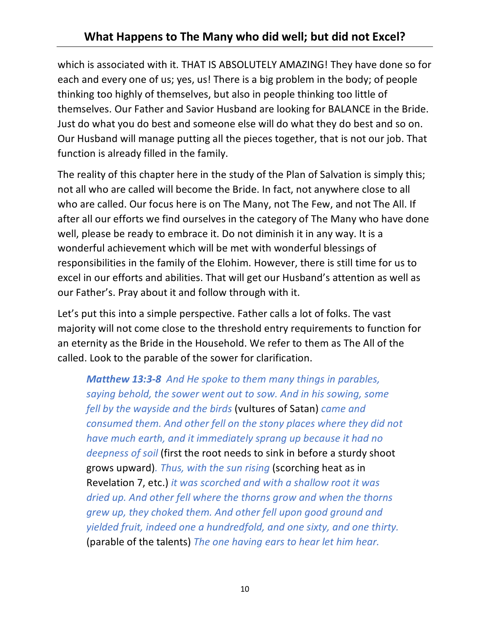which is associated with it. THAT IS ABSOLUTELY AMAZING! They have done so for each and every one of us; yes, us! There is a big problem in the body; of people thinking too highly of themselves, but also in people thinking too little of themselves. Our Father and Savior Husband are looking for BALANCE in the Bride. Just do what you do best and someone else will do what they do best and so on. Our Husband will manage putting all the pieces together, that is not our job. That function is already filled in the family.

The reality of this chapter here in the study of the Plan of Salvation is simply this; not all who are called will become the Bride. In fact, not anywhere close to all who are called. Our focus here is on The Many, not The Few, and not The All. If after all our efforts we find ourselves in the category of The Many who have done well, please be ready to embrace it. Do not diminish it in any way. It is a wonderful achievement which will be met with wonderful blessings of responsibilities in the family of the Elohim. However, there is still time for us to excel in our efforts and abilities. That will get our Husband's attention as well as our Father's. Pray about it and follow through with it.

Let's put this into a simple perspective. Father calls a lot of folks. The vast majority will not come close to the threshold entry requirements to function for an eternity as the Bride in the Household. We refer to them as The All of the called. Look to the parable of the sower for clarification.

*Matthew 13:3-8 And He spoke to them many things in parables, saying behold, the sower went out to sow. And in his sowing, some fell by the wayside and the birds* (vultures of Satan) *came and consumed them. And other fell on the stony places where they did not have much earth, and it immediately sprang up because it had no deepness of soil* (first the root needs to sink in before a sturdy shoot grows upward)*. Thus, with the sun rising* (scorching heat as in Revelation 7, etc.) *it was scorched and with a shallow root it was dried up. And other fell where the thorns grow and when the thorns grew up, they choked them. And other fell upon good ground and yielded fruit, indeed one a hundredfold, and one sixty, and one thirty.*  (parable of the talents) *The one having ears to hear let him hear.*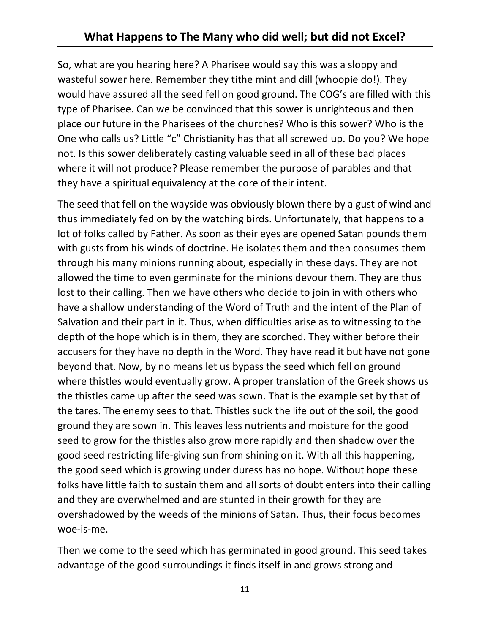So, what are you hearing here? A Pharisee would say this was a sloppy and wasteful sower here. Remember they tithe mint and dill (whoopie do!). They would have assured all the seed fell on good ground. The COG's are filled with this type of Pharisee. Can we be convinced that this sower is unrighteous and then place our future in the Pharisees of the churches? Who is this sower? Who is the One who calls us? Little "c" Christianity has that all screwed up. Do you? We hope not. Is this sower deliberately casting valuable seed in all of these bad places where it will not produce? Please remember the purpose of parables and that they have a spiritual equivalency at the core of their intent.

The seed that fell on the wayside was obviously blown there by a gust of wind and thus immediately fed on by the watching birds. Unfortunately, that happens to a lot of folks called by Father. As soon as their eyes are opened Satan pounds them with gusts from his winds of doctrine. He isolates them and then consumes them through his many minions running about, especially in these days. They are not allowed the time to even germinate for the minions devour them. They are thus lost to their calling. Then we have others who decide to join in with others who have a shallow understanding of the Word of Truth and the intent of the Plan of Salvation and their part in it. Thus, when difficulties arise as to witnessing to the depth of the hope which is in them, they are scorched. They wither before their accusers for they have no depth in the Word. They have read it but have not gone beyond that. Now, by no means let us bypass the seed which fell on ground where thistles would eventually grow. A proper translation of the Greek shows us the thistles came up after the seed was sown. That is the example set by that of the tares. The enemy sees to that. Thistles suck the life out of the soil, the good ground they are sown in. This leaves less nutrients and moisture for the good seed to grow for the thistles also grow more rapidly and then shadow over the good seed restricting life-giving sun from shining on it. With all this happening, the good seed which is growing under duress has no hope. Without hope these folks have little faith to sustain them and all sorts of doubt enters into their calling and they are overwhelmed and are stunted in their growth for they are overshadowed by the weeds of the minions of Satan. Thus, their focus becomes woe-is-me.

Then we come to the seed which has germinated in good ground. This seed takes advantage of the good surroundings it finds itself in and grows strong and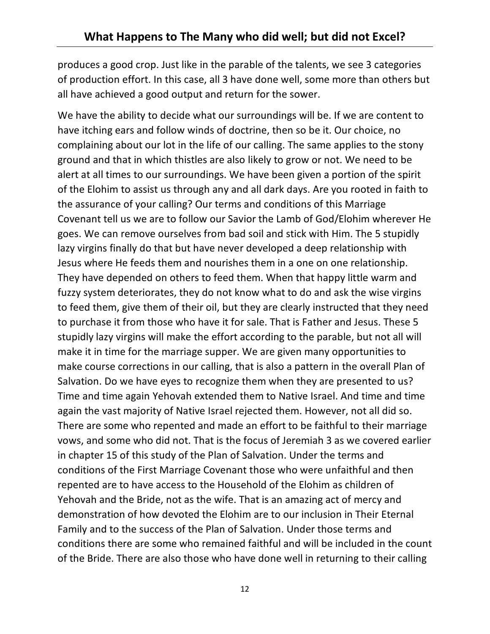produces a good crop. Just like in the parable of the talents, we see 3 categories of production effort. In this case, all 3 have done well, some more than others but all have achieved a good output and return for the sower.

We have the ability to decide what our surroundings will be. If we are content to have itching ears and follow winds of doctrine, then so be it. Our choice, no complaining about our lot in the life of our calling. The same applies to the stony ground and that in which thistles are also likely to grow or not. We need to be alert at all times to our surroundings. We have been given a portion of the spirit of the Elohim to assist us through any and all dark days. Are you rooted in faith to the assurance of your calling? Our terms and conditions of this Marriage Covenant tell us we are to follow our Savior the Lamb of God/Elohim wherever He goes. We can remove ourselves from bad soil and stick with Him. The 5 stupidly lazy virgins finally do that but have never developed a deep relationship with Jesus where He feeds them and nourishes them in a one on one relationship. They have depended on others to feed them. When that happy little warm and fuzzy system deteriorates, they do not know what to do and ask the wise virgins to feed them, give them of their oil, but they are clearly instructed that they need to purchase it from those who have it for sale. That is Father and Jesus. These 5 stupidly lazy virgins will make the effort according to the parable, but not all will make it in time for the marriage supper. We are given many opportunities to make course corrections in our calling, that is also a pattern in the overall Plan of Salvation. Do we have eyes to recognize them when they are presented to us? Time and time again Yehovah extended them to Native Israel. And time and time again the vast majority of Native Israel rejected them. However, not all did so. There are some who repented and made an effort to be faithful to their marriage vows, and some who did not. That is the focus of Jeremiah 3 as we covered earlier in chapter 15 of this study of the Plan of Salvation. Under the terms and conditions of the First Marriage Covenant those who were unfaithful and then repented are to have access to the Household of the Elohim as children of Yehovah and the Bride, not as the wife. That is an amazing act of mercy and demonstration of how devoted the Elohim are to our inclusion in Their Eternal Family and to the success of the Plan of Salvation. Under those terms and conditions there are some who remained faithful and will be included in the count of the Bride. There are also those who have done well in returning to their calling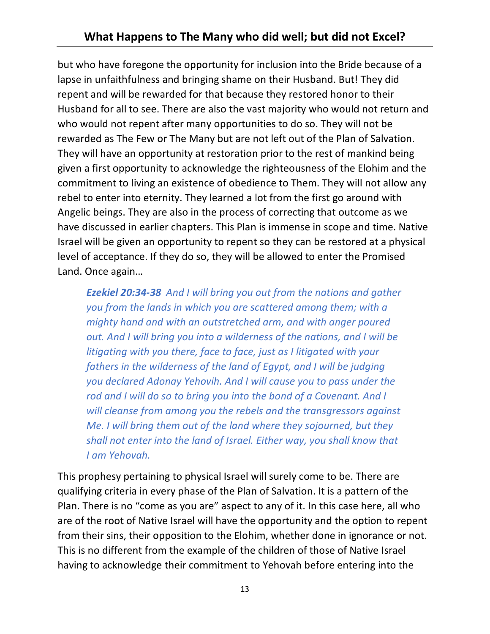## **What Happens to The Many who did well; but did not Excel?**

but who have foregone the opportunity for inclusion into the Bride because of a lapse in unfaithfulness and bringing shame on their Husband. But! They did repent and will be rewarded for that because they restored honor to their Husband for all to see. There are also the vast majority who would not return and who would not repent after many opportunities to do so. They will not be rewarded as The Few or The Many but are not left out of the Plan of Salvation. They will have an opportunity at restoration prior to the rest of mankind being given a first opportunity to acknowledge the righteousness of the Elohim and the commitment to living an existence of obedience to Them. They will not allow any rebel to enter into eternity. They learned a lot from the first go around with Angelic beings. They are also in the process of correcting that outcome as we have discussed in earlier chapters. This Plan is immense in scope and time. Native Israel will be given an opportunity to repent so they can be restored at a physical level of acceptance. If they do so, they will be allowed to enter the Promised Land. Once again…

*Ezekiel 20:34-38 And I will bring you out from the nations and gather you from the lands in which you are scattered among them; with a mighty hand and with an outstretched arm, and with anger poured out. And I will bring you into a wilderness of the nations, and I will be litigating with you there, face to face, just as I litigated with your fathers in the wilderness of the land of Egypt, and I will be judging you declared Adonay Yehovih. And I will cause you to pass under the rod and I will do so to bring you into the bond of a Covenant. And I will cleanse from among you the rebels and the transgressors against Me. I will bring them out of the land where they sojourned, but they shall not enter into the land of Israel. Either way, you shall know that I am Yehovah.*

This prophesy pertaining to physical Israel will surely come to be. There are qualifying criteria in every phase of the Plan of Salvation. It is a pattern of the Plan. There is no "come as you are" aspect to any of it. In this case here, all who are of the root of Native Israel will have the opportunity and the option to repent from their sins, their opposition to the Elohim, whether done in ignorance or not. This is no different from the example of the children of those of Native Israel having to acknowledge their commitment to Yehovah before entering into the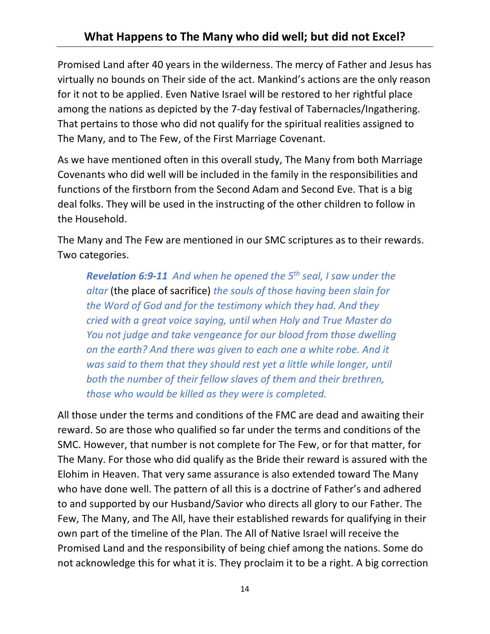Promised Land after 40 years in the wilderness. The mercy of Father and Jesus has virtually no bounds on Their side of the act. Mankind's actions are the only reason for it not to be applied. Even Native Israel will be restored to her rightful place among the nations as depicted by the 7-day festival of Tabernacles/Ingathering. That pertains to those who did not qualify for the spiritual realities assigned to The Many, and to The Few, of the First Marriage Covenant.

As we have mentioned often in this overall study, The Many from both Marriage Covenants who did well will be included in the family in the responsibilities and functions of the firstborn from the Second Adam and Second Eve. That is a big deal folks. They will be used in the instructing of the other children to follow in the Household.

The Many and The Few are mentioned in our SMC scriptures as to their rewards. Two categories.

*Revelation 6:9-11 And when he opened the 5th seal, I saw under the altar* (the place of sacrifice) *the souls of those having been slain for the Word of God and for the testimony which they had. And they cried with a great voice saying, until when Holy and True Master do You not judge and take vengeance for our blood from those dwelling on the earth? And there was given to each one a white robe. And it was said to them that they should rest yet a little while longer, until both the number of their fellow slaves of them and their brethren, those who would be killed as they were is completed.*

All those under the terms and conditions of the FMC are dead and awaiting their reward. So are those who qualified so far under the terms and conditions of the SMC. However, that number is not complete for The Few, or for that matter, for The Many. For those who did qualify as the Bride their reward is assured with the Elohim in Heaven. That very same assurance is also extended toward The Many who have done well. The pattern of all this is a doctrine of Father's and adhered to and supported by our Husband/Savior who directs all glory to our Father. The Few, The Many, and The All, have their established rewards for qualifying in their own part of the timeline of the Plan. The All of Native Israel will receive the Promised Land and the responsibility of being chief among the nations. Some do not acknowledge this for what it is. They proclaim it to be a right. A big correction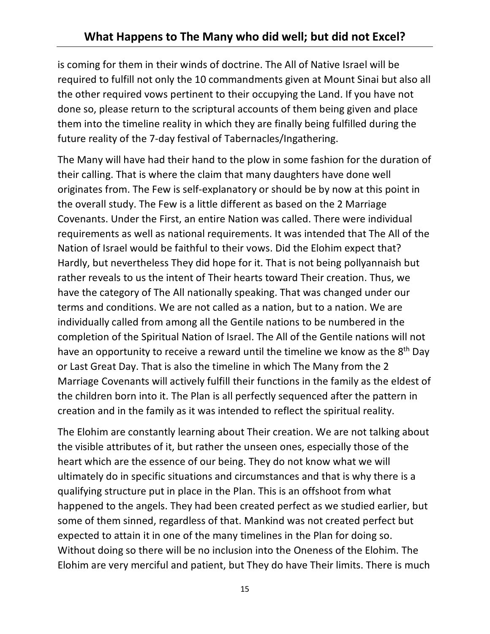is coming for them in their winds of doctrine. The All of Native Israel will be required to fulfill not only the 10 commandments given at Mount Sinai but also all the other required vows pertinent to their occupying the Land. If you have not done so, please return to the scriptural accounts of them being given and place them into the timeline reality in which they are finally being fulfilled during the future reality of the 7-day festival of Tabernacles/Ingathering.

The Many will have had their hand to the plow in some fashion for the duration of their calling. That is where the claim that many daughters have done well originates from. The Few is self-explanatory or should be by now at this point in the overall study. The Few is a little different as based on the 2 Marriage Covenants. Under the First, an entire Nation was called. There were individual requirements as well as national requirements. It was intended that The All of the Nation of Israel would be faithful to their vows. Did the Elohim expect that? Hardly, but nevertheless They did hope for it. That is not being pollyannaish but rather reveals to us the intent of Their hearts toward Their creation. Thus, we have the category of The All nationally speaking. That was changed under our terms and conditions. We are not called as a nation, but to a nation. We are individually called from among all the Gentile nations to be numbered in the completion of the Spiritual Nation of Israel. The All of the Gentile nations will not have an opportunity to receive a reward until the timeline we know as the 8<sup>th</sup> Day or Last Great Day. That is also the timeline in which The Many from the 2 Marriage Covenants will actively fulfill their functions in the family as the eldest of the children born into it. The Plan is all perfectly sequenced after the pattern in creation and in the family as it was intended to reflect the spiritual reality.

The Elohim are constantly learning about Their creation. We are not talking about the visible attributes of it, but rather the unseen ones, especially those of the heart which are the essence of our being. They do not know what we will ultimately do in specific situations and circumstances and that is why there is a qualifying structure put in place in the Plan. This is an offshoot from what happened to the angels. They had been created perfect as we studied earlier, but some of them sinned, regardless of that. Mankind was not created perfect but expected to attain it in one of the many timelines in the Plan for doing so. Without doing so there will be no inclusion into the Oneness of the Elohim. The Elohim are very merciful and patient, but They do have Their limits. There is much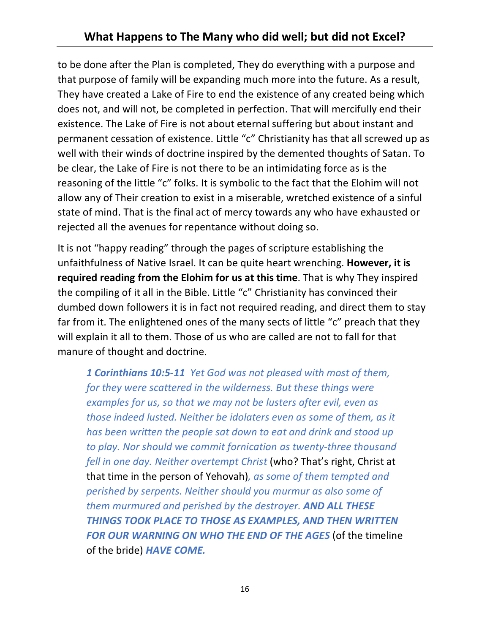to be done after the Plan is completed, They do everything with a purpose and that purpose of family will be expanding much more into the future. As a result, They have created a Lake of Fire to end the existence of any created being which does not, and will not, be completed in perfection. That will mercifully end their existence. The Lake of Fire is not about eternal suffering but about instant and permanent cessation of existence. Little "c" Christianity has that all screwed up as well with their winds of doctrine inspired by the demented thoughts of Satan. To be clear, the Lake of Fire is not there to be an intimidating force as is the reasoning of the little "c" folks. It is symbolic to the fact that the Elohim will not allow any of Their creation to exist in a miserable, wretched existence of a sinful state of mind. That is the final act of mercy towards any who have exhausted or rejected all the avenues for repentance without doing so.

It is not "happy reading" through the pages of scripture establishing the unfaithfulness of Native Israel. It can be quite heart wrenching. **However, it is required reading from the Elohim for us at this time**. That is why They inspired the compiling of it all in the Bible. Little "c" Christianity has convinced their dumbed down followers it is in fact not required reading, and direct them to stay far from it. The enlightened ones of the many sects of little "c" preach that they will explain it all to them. Those of us who are called are not to fall for that manure of thought and doctrine.

*1 Corinthians 10:5-11 Yet God was not pleased with most of them, for they were scattered in the wilderness. But these things were examples for us, so that we may not be lusters after evil, even as those indeed lusted. Neither be idolaters even as some of them, as it has been written the people sat down to eat and drink and stood up to play. Nor should we commit fornication as twenty-three thousand fell in one day. Neither overtempt Christ* (who? That's right, Christ at that time in the person of Yehovah)*, as some of them tempted and perished by serpents. Neither should you murmur as also some of them murmured and perished by the destroyer. AND ALL THESE THINGS TOOK PLACE TO THOSE AS EXAMPLES, AND THEN WRITTEN* FOR OUR WARNING ON WHO THE END OF THE AGES (of the timeline of the bride) *HAVE COME.*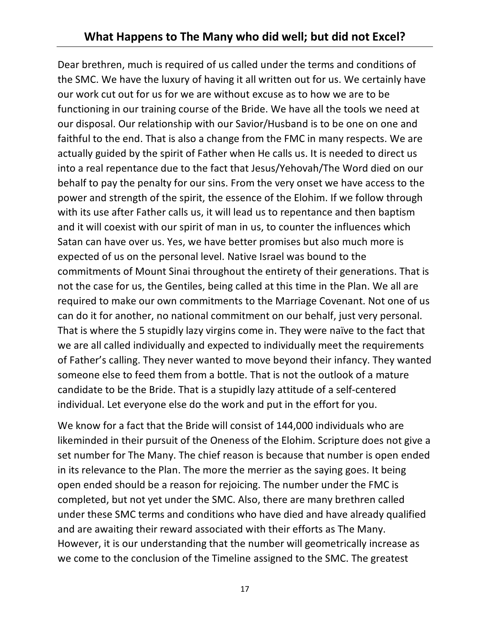Dear brethren, much is required of us called under the terms and conditions of the SMC. We have the luxury of having it all written out for us. We certainly have our work cut out for us for we are without excuse as to how we are to be functioning in our training course of the Bride. We have all the tools we need at our disposal. Our relationship with our Savior/Husband is to be one on one and faithful to the end. That is also a change from the FMC in many respects. We are actually guided by the spirit of Father when He calls us. It is needed to direct us into a real repentance due to the fact that Jesus/Yehovah/The Word died on our behalf to pay the penalty for our sins. From the very onset we have access to the power and strength of the spirit, the essence of the Elohim. If we follow through with its use after Father calls us, it will lead us to repentance and then baptism and it will coexist with our spirit of man in us, to counter the influences which Satan can have over us. Yes, we have better promises but also much more is expected of us on the personal level. Native Israel was bound to the commitments of Mount Sinai throughout the entirety of their generations. That is not the case for us, the Gentiles, being called at this time in the Plan. We all are required to make our own commitments to the Marriage Covenant. Not one of us can do it for another, no national commitment on our behalf, just very personal. That is where the 5 stupidly lazy virgins come in. They were naïve to the fact that we are all called individually and expected to individually meet the requirements of Father's calling. They never wanted to move beyond their infancy. They wanted someone else to feed them from a bottle. That is not the outlook of a mature candidate to be the Bride. That is a stupidly lazy attitude of a self-centered individual. Let everyone else do the work and put in the effort for you.

We know for a fact that the Bride will consist of 144,000 individuals who are likeminded in their pursuit of the Oneness of the Elohim. Scripture does not give a set number for The Many. The chief reason is because that number is open ended in its relevance to the Plan. The more the merrier as the saying goes. It being open ended should be a reason for rejoicing. The number under the FMC is completed, but not yet under the SMC. Also, there are many brethren called under these SMC terms and conditions who have died and have already qualified and are awaiting their reward associated with their efforts as The Many. However, it is our understanding that the number will geometrically increase as we come to the conclusion of the Timeline assigned to the SMC. The greatest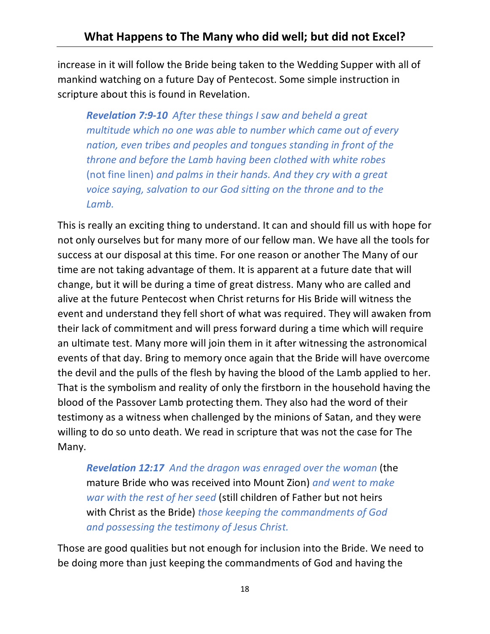increase in it will follow the Bride being taken to the Wedding Supper with all of mankind watching on a future Day of Pentecost. Some simple instruction in scripture about this is found in Revelation.

*Revelation 7:9-10 After these things I saw and beheld a great multitude which no one was able to number which came out of every nation, even tribes and peoples and tongues standing in front of the throne and before the Lamb having been clothed with white robes*  (not fine linen) *and palms in their hands. And they cry with a great voice saying, salvation to our God sitting on the throne and to the Lamb.*

This is really an exciting thing to understand. It can and should fill us with hope for not only ourselves but for many more of our fellow man. We have all the tools for success at our disposal at this time. For one reason or another The Many of our time are not taking advantage of them. It is apparent at a future date that will change, but it will be during a time of great distress. Many who are called and alive at the future Pentecost when Christ returns for His Bride will witness the event and understand they fell short of what was required. They will awaken from their lack of commitment and will press forward during a time which will require an ultimate test. Many more will join them in it after witnessing the astronomical events of that day. Bring to memory once again that the Bride will have overcome the devil and the pulls of the flesh by having the blood of the Lamb applied to her. That is the symbolism and reality of only the firstborn in the household having the blood of the Passover Lamb protecting them. They also had the word of their testimony as a witness when challenged by the minions of Satan, and they were willing to do so unto death. We read in scripture that was not the case for The Many.

*Revelation 12:17 And the dragon was enraged over the woman* (the mature Bride who was received into Mount Zion) *and went to make war with the rest of her seed* (still children of Father but not heirs with Christ as the Bride) *those keeping the commandments of God and possessing the testimony of Jesus Christ.*

Those are good qualities but not enough for inclusion into the Bride. We need to be doing more than just keeping the commandments of God and having the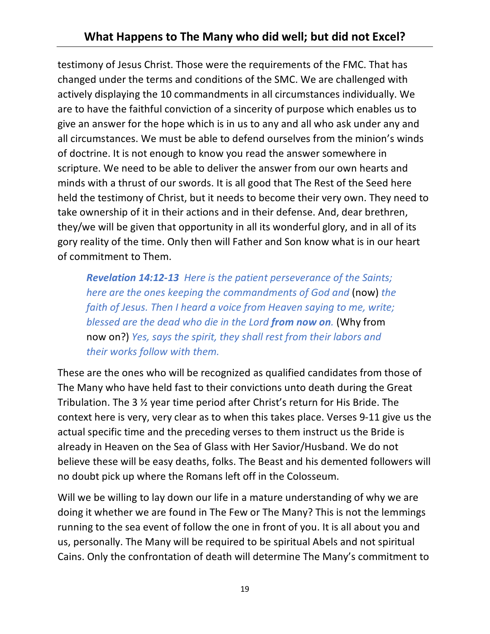testimony of Jesus Christ. Those were the requirements of the FMC. That has changed under the terms and conditions of the SMC. We are challenged with actively displaying the 10 commandments in all circumstances individually. We are to have the faithful conviction of a sincerity of purpose which enables us to give an answer for the hope which is in us to any and all who ask under any and all circumstances. We must be able to defend ourselves from the minion's winds of doctrine. It is not enough to know you read the answer somewhere in scripture. We need to be able to deliver the answer from our own hearts and minds with a thrust of our swords. It is all good that The Rest of the Seed here held the testimony of Christ, but it needs to become their very own. They need to take ownership of it in their actions and in their defense. And, dear brethren, they/we will be given that opportunity in all its wonderful glory, and in all of its gory reality of the time. Only then will Father and Son know what is in our heart of commitment to Them.

*Revelation 14:12-13 Here is the patient perseverance of the Saints; here are the ones keeping the commandments of God and* (now) *the faith of Jesus. Then I heard a voice from Heaven saying to me, write; blessed are the dead who die in the Lord from now on.* (Why from now on?) *Yes, says the spirit, they shall rest from their labors and their works follow with them.*

These are the ones who will be recognized as qualified candidates from those of The Many who have held fast to their convictions unto death during the Great Tribulation. The 3 ½ year time period after Christ's return for His Bride. The context here is very, very clear as to when this takes place. Verses 9-11 give us the actual specific time and the preceding verses to them instruct us the Bride is already in Heaven on the Sea of Glass with Her Savior/Husband. We do not believe these will be easy deaths, folks. The Beast and his demented followers will no doubt pick up where the Romans left off in the Colosseum.

Will we be willing to lay down our life in a mature understanding of why we are doing it whether we are found in The Few or The Many? This is not the lemmings running to the sea event of follow the one in front of you. It is all about you and us, personally. The Many will be required to be spiritual Abels and not spiritual Cains. Only the confrontation of death will determine The Many's commitment to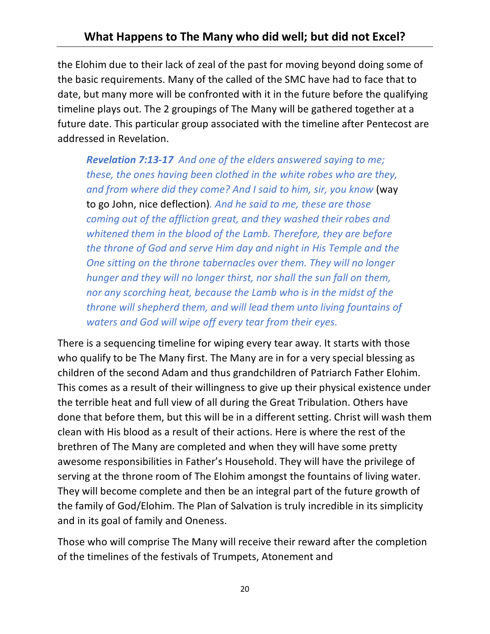the Elohim due to their lack of zeal of the past for moving beyond doing some of the basic requirements. Many of the called of the SMC have had to face that to date, but many more will be confronted with it in the future before the qualifying timeline plays out. The 2 groupings of The Many will be gathered together at a future date. This particular group associated with the timeline after Pentecost are addressed in Revelation.

*Revelation 7:13-17 And one of the elders answered saying to me; these, the ones having been clothed in the white robes who are they, and from where did they come? And I said to him, sir, you know* (way to go John, nice deflection)*. And he said to me, these are those coming out of the affliction great, and they washed their robes and whitened them in the blood of the Lamb. Therefore, they are before the throne of God and serve Him day and night in His Temple and the One sitting on the throne tabernacles over them. They will no longer hunger and they will no longer thirst, nor shall the sun fall on them, nor any scorching heat, because the Lamb who is in the midst of the throne will shepherd them, and will lead them unto living fountains of waters and God will wipe off every tear from their eyes.*

There is a sequencing timeline for wiping every tear away. It starts with those who qualify to be The Many first. The Many are in for a very special blessing as children of the second Adam and thus grandchildren of Patriarch Father Elohim. This comes as a result of their willingness to give up their physical existence under the terrible heat and full view of all during the Great Tribulation. Others have done that before them, but this will be in a different setting. Christ will wash them clean with His blood as a result of their actions. Here is where the rest of the brethren of The Many are completed and when they will have some pretty awesome responsibilities in Father's Household. They will have the privilege of serving at the throne room of The Elohim amongst the fountains of living water. They will become complete and then be an integral part of the future growth of the family of God/Elohim. The Plan of Salvation is truly incredible in its simplicity and in its goal of family and Oneness.

Those who will comprise The Many will receive their reward after the completion of the timelines of the festivals of Trumpets, Atonement and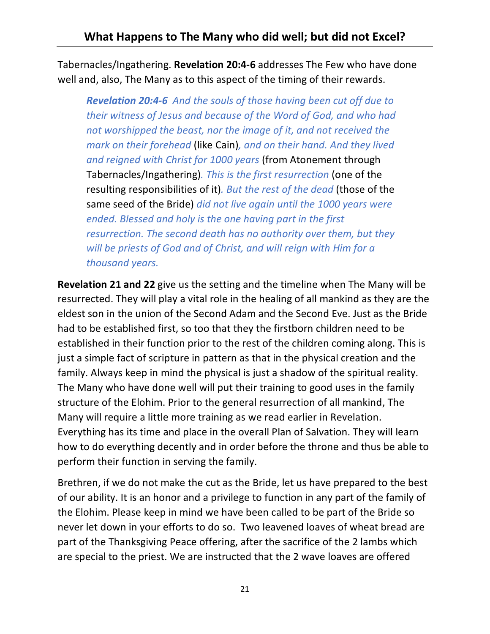Tabernacles/Ingathering. **Revelation 20:4-6** addresses The Few who have done well and, also, The Many as to this aspect of the timing of their rewards.

*Revelation 20:4-6 And the souls of those having been cut off due to their witness of Jesus and because of the Word of God, and who had not worshipped the beast, nor the image of it, and not received the mark on their forehead* (like Cain)*, and on their hand. And they lived and reigned with Christ for 1000 years* (from Atonement through Tabernacles/Ingathering)*. This is the first resurrection* (one of the resulting responsibilities of it)*. But the rest of the dead* (those of the same seed of the Bride) *did not live again until the 1000 years were ended. Blessed and holy is the one having part in the first resurrection. The second death has no authority over them, but they will be priests of God and of Christ, and will reign with Him for a thousand years.*

**Revelation 21 and 22** give us the setting and the timeline when The Many will be resurrected. They will play a vital role in the healing of all mankind as they are the eldest son in the union of the Second Adam and the Second Eve. Just as the Bride had to be established first, so too that they the firstborn children need to be established in their function prior to the rest of the children coming along. This is just a simple fact of scripture in pattern as that in the physical creation and the family. Always keep in mind the physical is just a shadow of the spiritual reality. The Many who have done well will put their training to good uses in the family structure of the Elohim. Prior to the general resurrection of all mankind, The Many will require a little more training as we read earlier in Revelation. Everything has its time and place in the overall Plan of Salvation. They will learn how to do everything decently and in order before the throne and thus be able to perform their function in serving the family.

Brethren, if we do not make the cut as the Bride, let us have prepared to the best of our ability. It is an honor and a privilege to function in any part of the family of the Elohim. Please keep in mind we have been called to be part of the Bride so never let down in your efforts to do so. Two leavened loaves of wheat bread are part of the Thanksgiving Peace offering, after the sacrifice of the 2 lambs which are special to the priest. We are instructed that the 2 wave loaves are offered